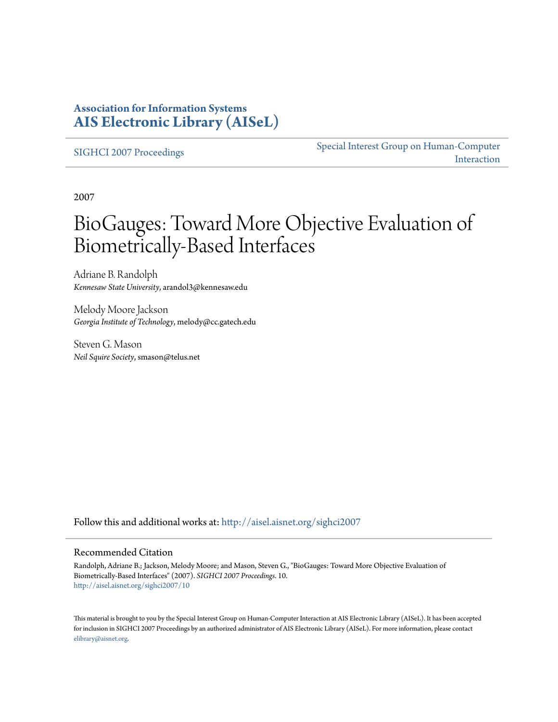### **Association for Information Systems [AIS Electronic Library \(AISeL\)](http://aisel.aisnet.org?utm_source=aisel.aisnet.org%2Fsighci2007%2F10&utm_medium=PDF&utm_campaign=PDFCoverPages)**

[SIGHCI 2007 Proceedings](http://aisel.aisnet.org/sighci2007?utm_source=aisel.aisnet.org%2Fsighci2007%2F10&utm_medium=PDF&utm_campaign=PDFCoverPages)

[Special Interest Group on Human-Computer](http://aisel.aisnet.org/sighci?utm_source=aisel.aisnet.org%2Fsighci2007%2F10&utm_medium=PDF&utm_campaign=PDFCoverPages) [Interaction](http://aisel.aisnet.org/sighci?utm_source=aisel.aisnet.org%2Fsighci2007%2F10&utm_medium=PDF&utm_campaign=PDFCoverPages)

2007

# BioGauges: Toward More Objective Evaluation of Biometrically-Based Interfaces

Adriane B. Randolph *Kennesaw State University*, arandol3@kennesaw.edu

Melody Moore Jackson *Georgia Institute of Technology*, melody@cc.gatech.edu

Steven G. Mason *Neil Squire Society*, smason@telus.net

Follow this and additional works at: [http://aisel.aisnet.org/sighci2007](http://aisel.aisnet.org/sighci2007?utm_source=aisel.aisnet.org%2Fsighci2007%2F10&utm_medium=PDF&utm_campaign=PDFCoverPages)

### Recommended Citation

Randolph, Adriane B.; Jackson, Melody Moore; and Mason, Steven G., "BioGauges: Toward More Objective Evaluation of Biometrically-Based Interfaces" (2007). *SIGHCI 2007 Proceedings*. 10. [http://aisel.aisnet.org/sighci2007/10](http://aisel.aisnet.org/sighci2007/10?utm_source=aisel.aisnet.org%2Fsighci2007%2F10&utm_medium=PDF&utm_campaign=PDFCoverPages)

This material is brought to you by the Special Interest Group on Human-Computer Interaction at AIS Electronic Library (AISeL). It has been accepted for inclusion in SIGHCI 2007 Proceedings by an authorized administrator of AIS Electronic Library (AISeL). For more information, please contact [elibrary@aisnet.org.](mailto:elibrary@aisnet.org%3E)